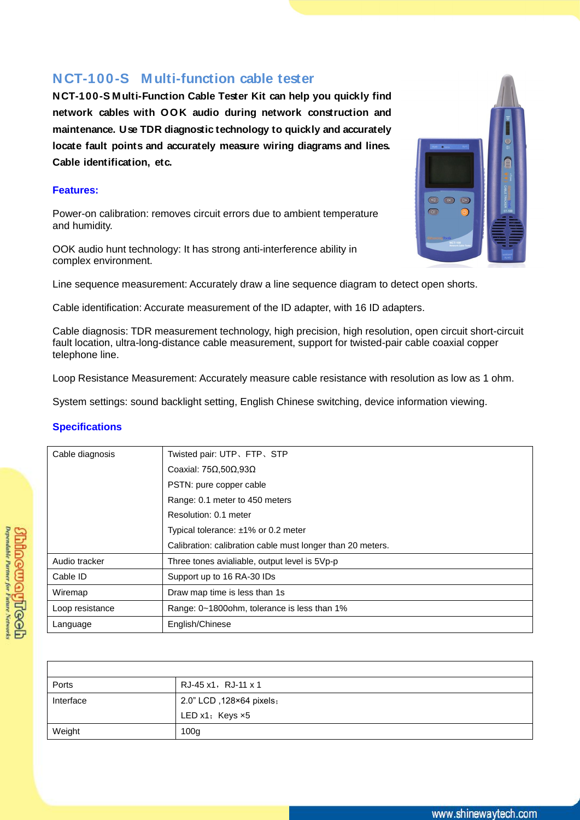## **NCT-100-S M ulti-function cable tester**

**NCT-100-S M ulti-Function Cable Tester Kit can help you quickly find network cables with OOK audio during network construction and maintenance. Use TDR diagnostic technology to quickly and accurately locate fault points and accurately measure wiring diagrams and lines. Cable identification, etc.**

## **Features:**

Power-on calibration: removes circuit errors due to ambient temperature and humidity.

OOK audio hunt technology: It has strong anti-interference ability in complex environment.



Line sequence measurement: Accurately draw a line sequence diagram to detect open shorts.

Cable identification: Accurate measurement of the ID adapter, with 16 ID adapters.

Cable diagnosis: TDR measurement technology, high precision, high resolution, open circuit short-circuit fault location, ultra-long-distance cable measurement, support for twisted-pair cable coaxial copper telephone line.

Loop Resistance Measurement: Accurately measure cable resistance with resolution as low as 1 ohm.

System settings: sound backlight setting, English Chinese switching, device information viewing.

## **Specifications**

| Cable diagnosis | Twisted pair: UTP, FTP, STP                                |
|-----------------|------------------------------------------------------------|
|                 | Coaxial: $75\Omega,50\Omega,93\Omega$                      |
|                 | PSTN: pure copper cable                                    |
|                 | Range: 0.1 meter to 450 meters                             |
|                 | Resolution: 0.1 meter                                      |
|                 | Typical tolerance: $\pm 1\%$ or 0.2 meter                  |
|                 | Calibration: calibration cable must longer than 20 meters. |
| Audio tracker   | Three tones avialiable, output level is 5Vp-p              |
| Cable ID        | Support up to 16 RA-30 IDs                                 |
| Wiremap         | Draw map time is less than 1s                              |
| Loop resistance | Range: 0~1800ohm, tolerance is less than 1%                |
| Language        | English/Chinese                                            |

| Ports     | RJ-45 x1,RJ-11 x 1       |
|-----------|--------------------------|
| Interface | 2.0" LCD, 128×64 pixels; |
|           | LED $x1$ ; Keys $x5$     |
| Weight    | 100 <sub>g</sub>         |